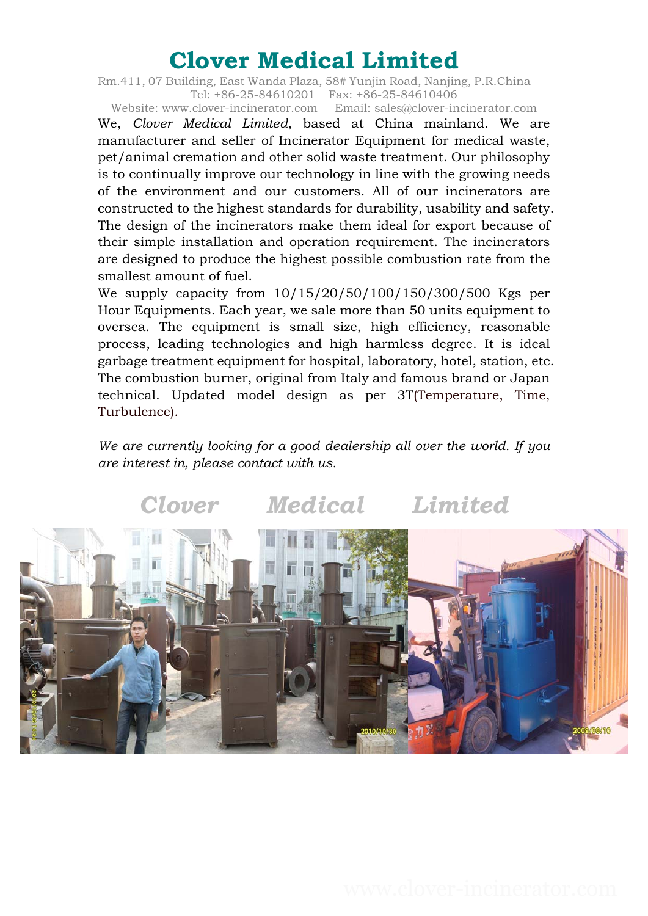Rm.411, 07 Building, East Wanda Plaza, 58# Yunjin Road, Nanjing, P.R.China Tel: +86-25-84610201 Fax: +86-25-84610406

Website: www.clover-incinerator.com Email: sales@clover-incinerator.com We, *Clover Medical Limited*, based at China mainland. We are manufacturer and seller of Incinerator Equipment for medical waste, pet/animal cremation and other solid waste treatment. Our philosophy is to continually improve our technology in line with the growing needs of the environment and our customers. All of our incinerators are constructed to the highest standards for durability, usability and safety. The design of the incinerators make them ideal for export because of their simple installation and operation requirement. The incinerators are designed to produce the highest possible combustion rate from the smallest amount of fuel.

We supply capacity from 10/15/20/50/100/150/300/500 Kgs per Hour Equipments. Each year, we sale more than 50 units equipment to oversea. The equipment is small size, high efficiency, reasonable process, leading technologies and high harmless degree. It is ideal garbage treatment equipment for hospital, laboratory, hotel, station, etc. The combustion burner, original from Italy and famous brand or Japan technical. Updated model design as per 3T(Temperature, Time, Turbulence).

*We are currently looking for a good dealership all over the world. If you are interest in, please contact with us.* 

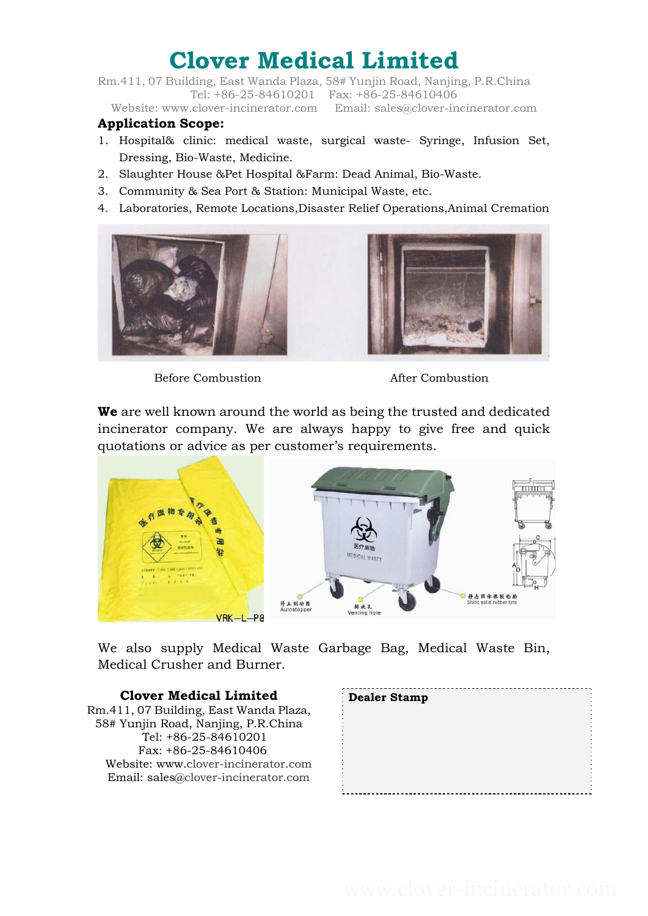Rm.411, 07 Building, East Wanda Plaza, 58# Yunjin Road, Nanjing, P.R.China Tel: +86-25-84610201 Fax: +86-25-84610406

### Website: www.clover-incinerator.com Email: sales@clover-incinerator.com

### **Application Scope:**

- 1. Hospital& clinic: medical waste, surgical waste- Syringe, Infusion Set, Dressing, Bio-Waste, Medicine.
- 2. Slaughter House &Pet Hospital &Farm: Dead Animal, Bio-Waste.
- 3. Community & Sea Port & Station: Municipal Waste, etc.
- 4. Laboratories, Remote Locations,Disaster Relief Operations,Animal Cremation





Before Combustion **Before** Combustion

**We** are well known around the world as being the trusted and dedicated incinerator company. We are always happy to give free and quick quotations or advice as per customer's requirements.



We also supply Medical Waste Garbage Bag, Medical Waste Bin, Medical Crusher and Burner.

### **Clover Medical Limited**

Rm.411, 07 Building, East Wanda Plaza, 58# Yunjin Road, Nanjing, P.R.China Tel: +86-25-84610201 Fax: +86-25-84610406 Website: www.clover-incinerator.com Email: sales@clover-incinerator.com

| Dealer Stamp |  |
|--------------|--|
|              |  |
|              |  |
|              |  |
|              |  |
|              |  |
|              |  |
|              |  |
|              |  |
|              |  |
|              |  |
|              |  |
|              |  |
|              |  |
|              |  |
|              |  |
|              |  |
|              |  |
|              |  |
|              |  |
|              |  |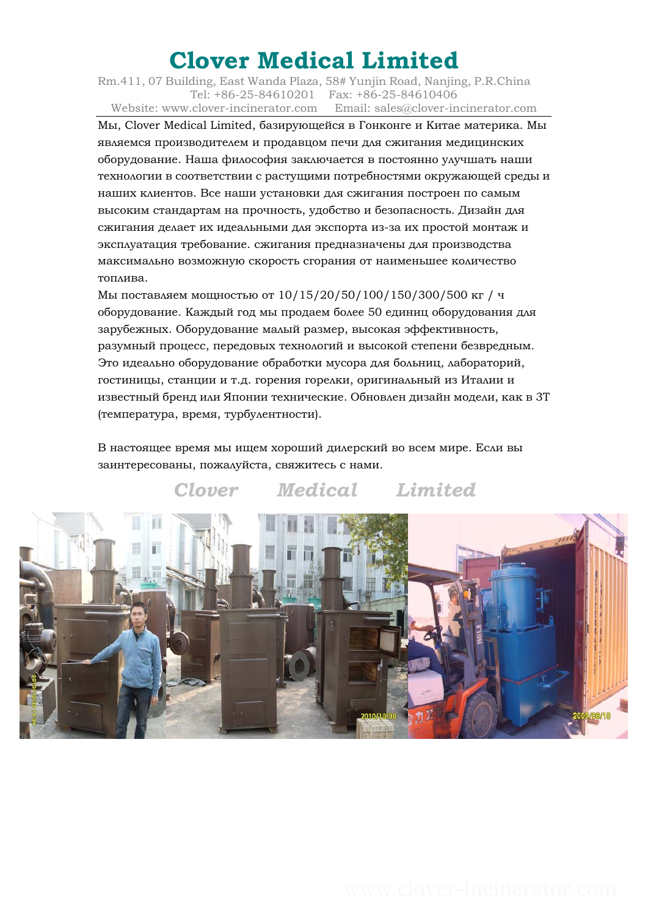Rm.411, 07 Building, East Wanda Plaza, 58# Yunjin Road, Nanjing, P.R.China Tel: +86-25-84610201 Fax: +86-25-84610406 Website: www.clover-incinerator.com Email: sales@clover-incinerator.com

Мы, Clover Medical Limited, базирующейся в Гонконге и Китае материка. Мы являемся производителем и продавцом печи для сжигания медицинских оборудование. Наша философия заключается в постоянно улучшать наши технологии в соответствии с растущими потребностями окружающей среды и наших клиентов. Все наши установки для сжигания построен по самым высоким стандартам на прочность, удобство и безопасность. Дизайн для сжигания делает их идеальными для экспорта из-за их простой монтаж и эксплуатация требование. сжигания предназначены для производства максимально возможную скорость сгорания от наименьшее количество топлива.

Мы поставляем мощностью от 10/15/20/50/100/150/300/500 кг / ч оборудование. Каждый год мы продаем более 50 единиц оборудования для зарубежных. Оборудование малый размер, высокая эффективность, разумный процесс, передовых технологий и высокой степени безвредным. Это идеально оборудование обработки мусора для больниц, лабораторий, гостиницы, станции и т.д. горения горелки, оригинальный из Италии и известный бренд или Японии технические. Обновлен дизайн модели, как в 3T (температура, время, турбулентности).

В настоящее время мы ищем хороший дилерский во всем мире. Если вы заинтересованы, пожалуйста, свяжитесь с нами.

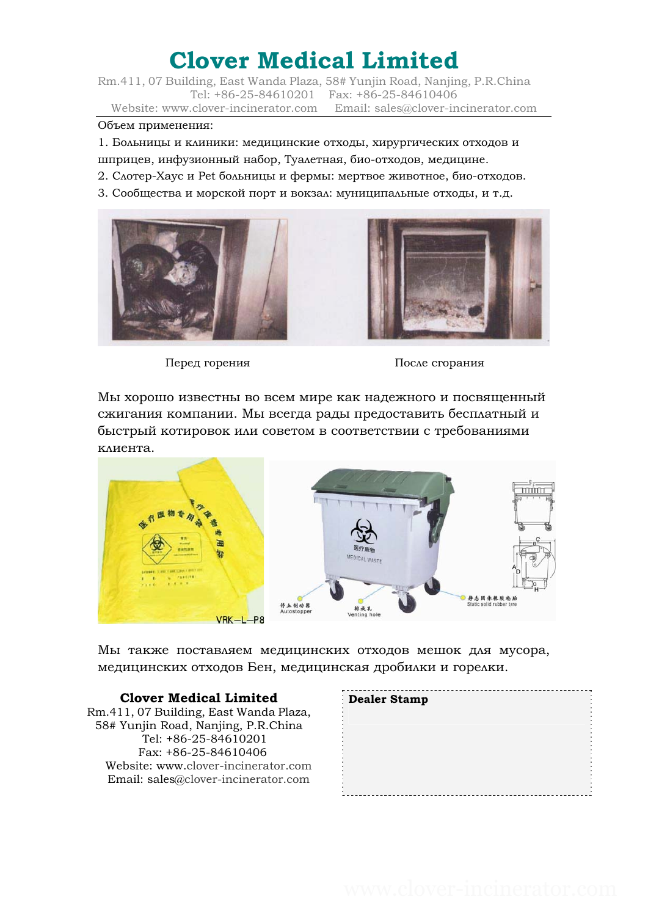Rm.411, 07 Building, East Wanda Plaza, 58# Yunjin Road, Nanjing, P.R.China Tel: +86-25-84610201 Fax: +86-25-84610406 Website: www.clover-incinerator.com Email: sales@clover-incinerator.com

#### Объем применения:

1. Больницы и клиники: медицинские отходы, хирургических отходов и шприцев, инфузионный набор, Туалетная, био-отходов, медицине.

- 2. Слотер-Хаус и Pet больницы и фермы: мертвое животное, био-отходов.
- 3. Сообщества и морской порт и вокзал: муниципальные отходы, и т.д.





Перед горения После сгорания

Мы хорошо известны во всем мире как надежного и посвященный сжигания компании. Мы всегда рады предоставить бесплатный и быстрый котировок или советом в соответствии с требованиями клиента.



Мы также поставляем медицинских отходов мешок для мусора, медицинских отходов Бен, медицинская дробилки и горелки.

#### **Clover Medical Limited**

Rm.411, 07 Building, East Wanda Plaza, 58# Yunjin Road, Nanjing, P.R.China Tel: +86-25-84610201 Fax: +86-25-84610406 Website: www.clover-incinerator.com Email: sales@clover-incinerator.com

| <b>Dealer Stamp</b> |  |
|---------------------|--|
|                     |  |
|                     |  |
|                     |  |
|                     |  |
|                     |  |
|                     |  |
|                     |  |
|                     |  |
|                     |  |
|                     |  |
|                     |  |
|                     |  |
|                     |  |
|                     |  |
|                     |  |
|                     |  |
|                     |  |
|                     |  |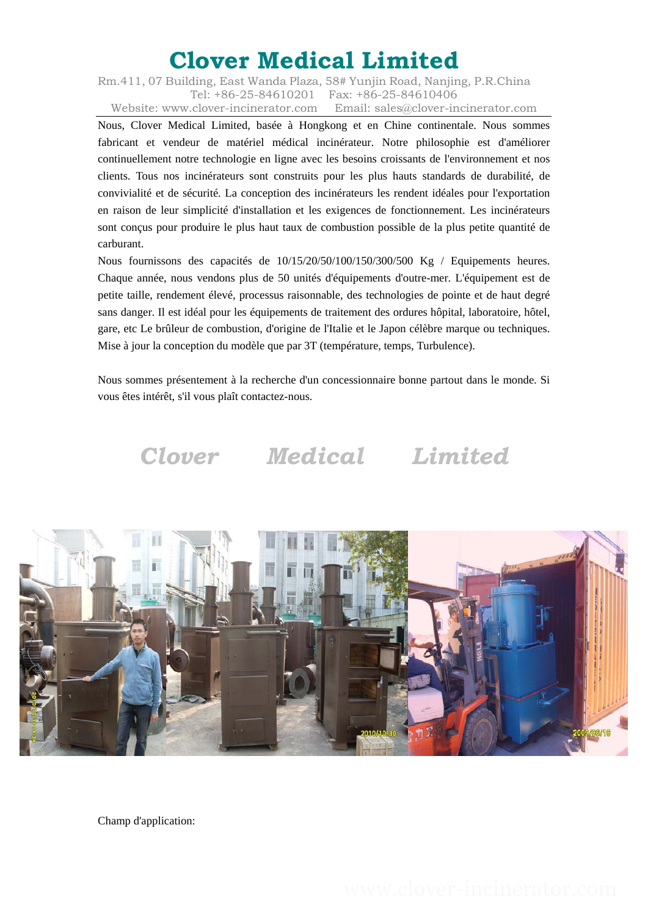Rm.411, 07 Building, East Wanda Plaza, 58# Yunjin Road, Nanjing, P.R.China Tel: +86-25-84610201 Fax: +86-25-84610406 Website: www.clover-incinerator.com Email: sales@clover-incinerator.com

Nous, Clover Medical Limited, basée à Hongkong et en Chine continentale. Nous sommes fabricant et vendeur de matériel médical incinérateur. Notre philosophie est d'améliorer continuellement notre technologie en ligne avec les besoins croissants de l'environnement et nos clients. Tous nos incinérateurs sont construits pour les plus hauts standards de durabilité, de convivialité et de sécurité. La conception des incinérateurs les rendent idéales pour l'exportation en raison de leur simplicité d'installation et les exigences de fonctionnement. Les incinérateurs sont conçus pour produire le plus haut taux de combustion possible de la plus petite quantité de carburant.

Nous fournissons des capacités de 10/15/20/50/100/150/300/500 Kg / Equipements heures. Chaque année, nous vendons plus de 50 unités d'équipements d'outre-mer. L'équipement est de petite taille, rendement élevé, processus raisonnable, des technologies de pointe et de haut degré sans danger. Il est idéal pour les équipements de traitement des ordures hôpital, laboratoire, hôtel, gare, etc Le brûleur de combustion, d'origine de l'Italie et le Japon célèbre marque ou techniques. Mise à jour la conception du modèle que par 3T (température, temps, Turbulence).

Nous sommes présentement à la recherche d'un concessionnaire bonne partout dans le monde. Si vous êtes intérêt, s'il vous plaît contactez-nous.

# *Clover Medical Limited*



Champ d'application: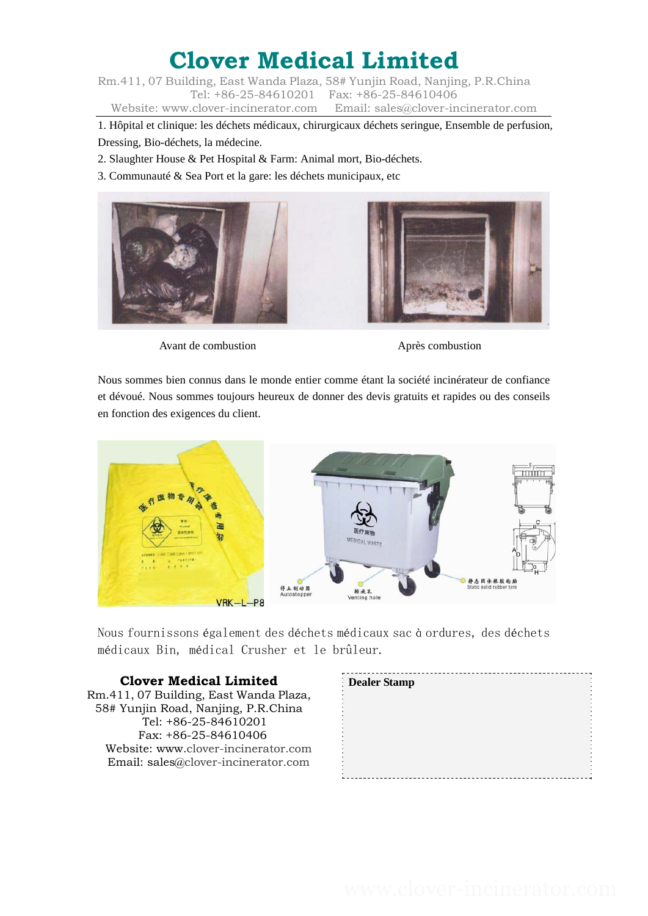Rm.411, 07 Building, East Wanda Plaza, 58# Yunjin Road, Nanjing, P.R.China Tel: +86-25-84610201 Fax: +86-25-84610406 Website: www.clover-incinerator.com Email: sales@clover-incinerator.com

1. Hôpital et clinique: les déchets médicaux, chirurgicaux déchets seringue, Ensemble de perfusion, Dressing, Bio-déchets, la médecine.

2. Slaughter House & Pet Hospital & Farm: Animal mort, Bio-déchets.

3. Communauté & Sea Port et la gare: les déchets municipaux, etc



Avant de combustion **Après** combustion

Nous sommes bien connus dans le monde entier comme étant la société incinérateur de confiance et dévoué. Nous sommes toujours heureux de donner des devis gratuits et rapides ou des conseils en fonction des exigences du client.



Nous fournissons également des déchets médicaux sac à ordures, des déchets médicaux Bin, médical Crusher et le brûleur.

#### **Clover Medical Limited**

Rm.411, 07 Building, East Wanda Plaza, 58# Yunjin Road, Nanjing, P.R.China Tel: +86-25-84610201 Fax: +86-25-84610406 Website: www.clover-incinerator.com Email: sales@clover-incinerator.com

| Dealer Stamp |  |
|--------------|--|
|              |  |
|              |  |
|              |  |
|              |  |
|              |  |
|              |  |
|              |  |
|              |  |
|              |  |
|              |  |
|              |  |
|              |  |
|              |  |
|              |  |
|              |  |
|              |  |
|              |  |
|              |  |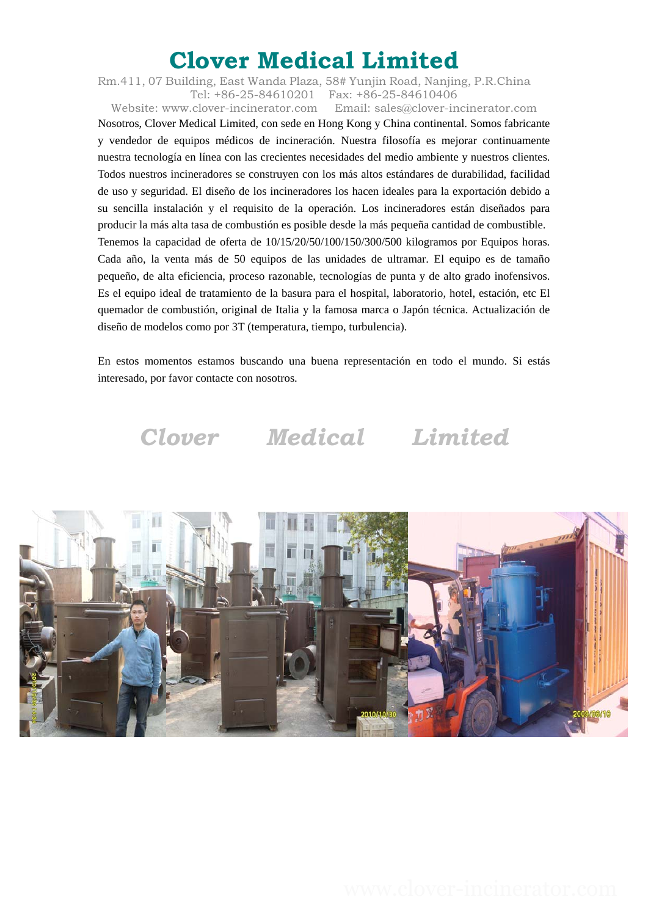Rm.411, 07 Building, East Wanda Plaza, 58# Yunjin Road, Nanjing, P.R.China Tel: +86-25-84610201 Fax: +86-25-84610406

Website: www.clover-incinerator.com Email: sales@clover-incinerator.com Nosotros, Clover Medical Limited, con sede en Hong Kong y China continental. Somos fabricante y vendedor de equipos médicos de incineración. Nuestra filosofía es mejorar continuamente nuestra tecnología en línea con las crecientes necesidades del medio ambiente y nuestros clientes. Todos nuestros incineradores se construyen con los más altos estándares de durabilidad, facilidad de uso y seguridad. El diseño de los incineradores los hacen ideales para la exportación debido a su sencilla instalación y el requisito de la operación. Los incineradores están diseñados para producir la más alta tasa de combustión es posible desde la más pequeña cantidad de combustible. Tenemos la capacidad de oferta de 10/15/20/50/100/150/300/500 kilogramos por Equipos horas. Cada año, la venta más de 50 equipos de las unidades de ultramar. El equipo es de tamaño pequeño, de alta eficiencia, proceso razonable, tecnologías de punta y de alto grado inofensivos. Es el equipo ideal de tratamiento de la basura para el hospital, laboratorio, hotel, estación, etc El quemador de combustión, original de Italia y la famosa marca o Japón técnica. Actualización de diseño de modelos como por 3T (temperatura, tiempo, turbulencia).

En estos momentos estamos buscando una buena representación en todo el mundo. Si estás interesado, por favor contacte con nosotros.



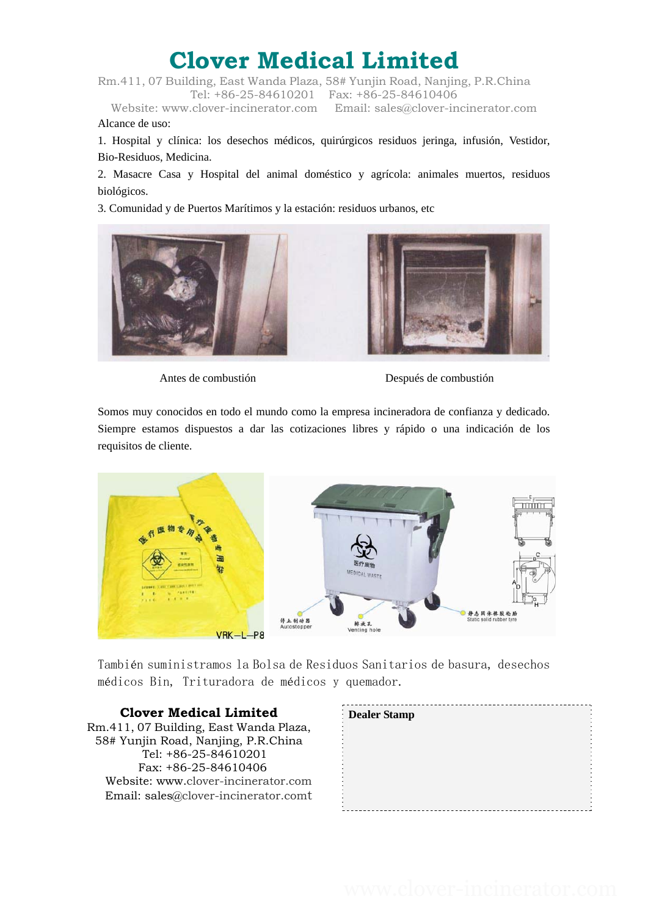Rm.411, 07 Building, East Wanda Plaza, 58# Yunjin Road, Nanjing, P.R.China Tel: +86-25-84610201 Fax: +86-25-84610406

Website: www.clover-incinerator.com Email: sales@clover-incinerator.com Alcance de uso:

1. Hospital y clínica: los desechos médicos, quirúrgicos residuos jeringa, infusión, Vestidor, Bio-Residuos, Medicina.

2. Masacre Casa y Hospital del animal doméstico y agrícola: animales muertos, residuos biológicos.

3. Comunidad y de Puertos Marítimos y la estación: residuos urbanos, etc





Antes de combustión Después de combustión

Somos muy conocidos en todo el mundo como la empresa incineradora de confianza y dedicado. Siempre estamos dispuestos a dar las cotizaciones libres y rápido o una indicación de los requisitos de cliente.



También suministramos la Bolsa de Residuos Sanitarios de basura, desechos médicos Bin, Trituradora de médicos y quemador.

#### **Clover Medical Limited**

Rm.411, 07 Building, East Wanda Plaza, 58# Yunjin Road, Nanjing, P.R.China Tel: +86-25-84610201 Fax: +86-25-84610406 Website: www.clover-incinerator.com Email: sales@clover-incinerator.comt

| <b>Dealer Stamp</b> |  |
|---------------------|--|
|                     |  |
|                     |  |
|                     |  |
|                     |  |
|                     |  |
|                     |  |
|                     |  |
|                     |  |
|                     |  |
|                     |  |
|                     |  |
|                     |  |
|                     |  |
|                     |  |
|                     |  |
|                     |  |
|                     |  |
|                     |  |
|                     |  |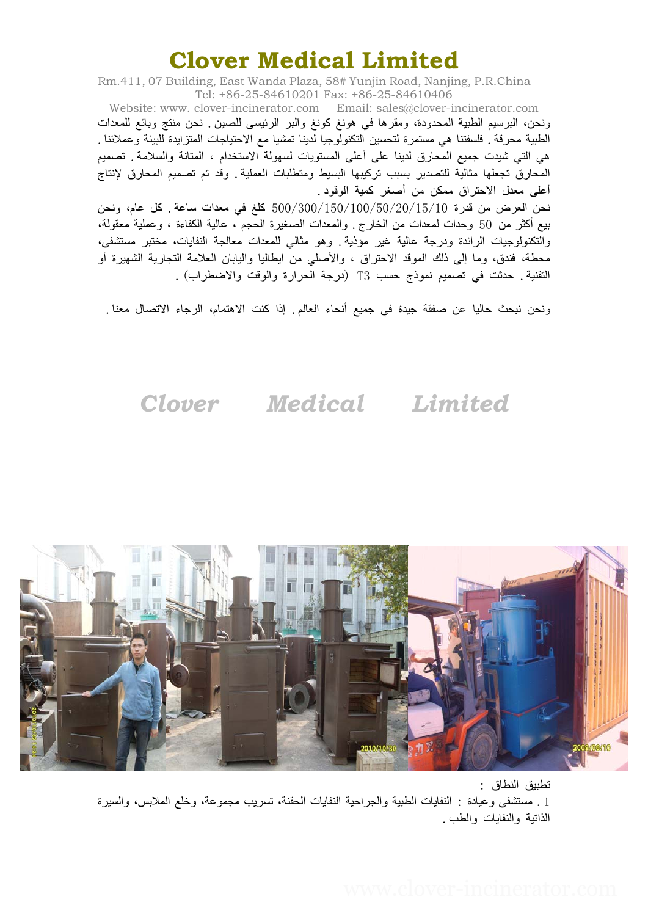Rm.411, 07 Building, East Wanda Plaza, 58# Yunjin Road, Nanjing, P.R.China Tel: +86-25-84610201 Fax: +86-25-84610406

Website: www. clover-incinerator.com Email: sales@clover-incinerator.com ونحن، البرسيم الطبية المحدودة، ومقرها في هونغ كونغ والبر الرئيسى للصين . نحن منتج وبائع للمعدات الطبية محرقة. فلسفتنا هي مستمرة لتحسين التكنولوجيا لدينا تمشيا مع الاحتياجات المتزايدة للبيئة وعملائنا. هي التي شيدت جميع المحارق لدينا على أعلى المستويات لسهولة الاستخدام ، المتانة والسلامة. تصميم المحارق تجعلها مثالية للتصدير بسبب تركيبها البسيط ومتطلبات العملية وقد تم تصميم المحارق لإنتاج أعلى معدل الاحتراق ممكن من أصغر كمية الوقود.

نحن العرض من قدرة 10/15/20/50/100/150/300/500 آلغ في معدات ساعة. آل عام، ونحن بيع أآثر من 50 وحدات لمعدات من الخارج. والمعدات الصغيرة الحجم ، عالية الكفاءة ، وعملية معقولة، والتكنولوجيات الرائدة ودرجة عالية غير مؤذية. وهو مثالي للمعدات معالجة النفايات، مختبر مستشفى، محطة، فندق، وما إلى ذلك الموقد الاحتراق ، والأصلي من ايطاليا واليابان العلامة التجارية الشهيرة أو التقنية. حدثت في تصميم نموذج حسب (T3 درجة الحرارة والوقت والاضطراب).

ونحن نبحث حاليا عن صفقة جيدة في جميع أنحاء العالم. إذا كنت الاهتمام، الرجاء الاتصال معنا .

*Clover Medical Limited* 



تطبيق النطاق : .1 مستشفى وعيادة : النفايات الطبية والجراحية النفايات الحقنة، تسريب مجموعة، وخلع الملابس، والسيرة الذاتية والنفايات والطب.